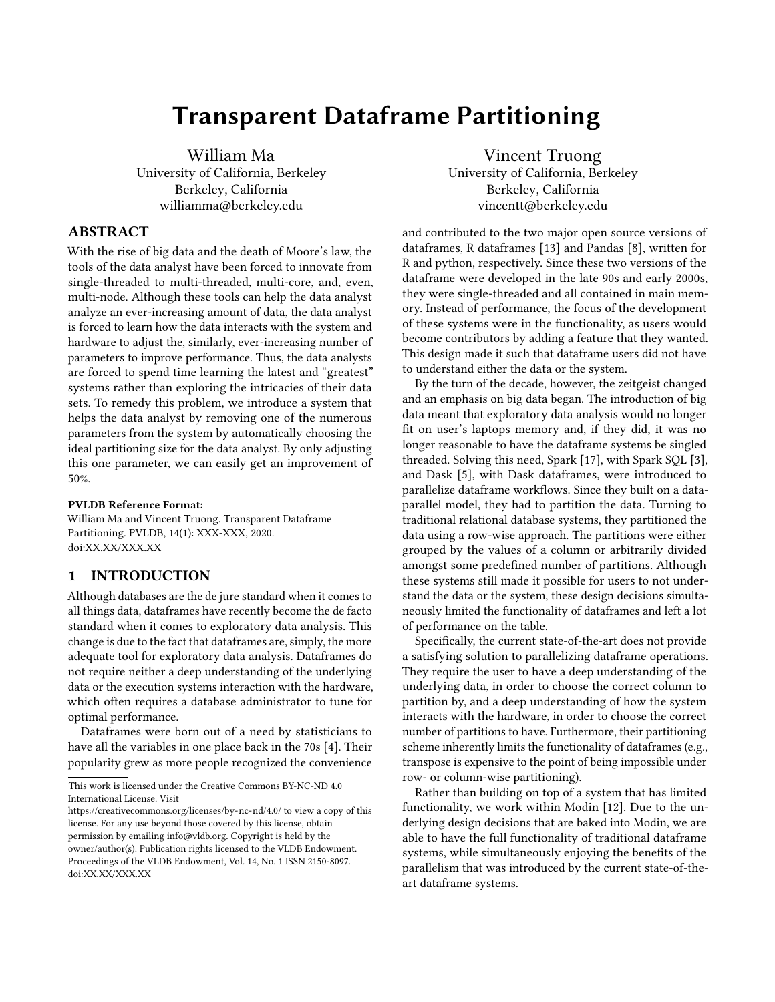# Transparent Dataframe Partitioning

William Ma University of California, Berkeley Berkeley, California williamma@berkeley.edu

# ABSTRACT

With the rise of big data and the death of Moore's law, the tools of the data analyst have been forced to innovate from single-threaded to multi-threaded, multi-core, and, even, multi-node. Although these tools can help the data analyst analyze an ever-increasing amount of data, the data analyst is forced to learn how the data interacts with the system and hardware to adjust the, similarly, ever-increasing number of parameters to improve performance. Thus, the data analysts are forced to spend time learning the latest and "greatest" systems rather than exploring the intricacies of their data sets. To remedy this problem, we introduce a system that helps the data analyst by removing one of the numerous parameters from the system by automatically choosing the ideal partitioning size for the data analyst. By only adjusting this one parameter, we can easily get an improvement of 50%.

#### PVLDB Reference Format:

William Ma and Vincent Truong. Transparent Dataframe Partitioning. PVLDB, 14(1): XXX-XXX, 2020. [doi:XX.XX/XXX.XX](https://doi.org/XX.XX/XXX.XX)

# 1 INTRODUCTION

Although databases are the de jure standard when it comes to all things data, dataframes have recently become the de facto standard when it comes to exploratory data analysis. This change is due to the fact that dataframes are, simply, the more adequate tool for exploratory data analysis. Dataframes do not require neither a deep understanding of the underlying data or the execution systems interaction with the hardware, which often requires a database administrator to tune for optimal performance.

Dataframes were born out of a need by statisticians to have all the variables in one place back in the 70s [\[4\]](#page-7-0). Their popularity grew as more people recognized the convenience

Vincent Truong University of California, Berkeley Berkeley, California vincentt@berkeley.edu

and contributed to the two major open source versions of dataframes, R dataframes [\[13\]](#page-8-0) and Pandas [\[8\]](#page-8-1), written for R and python, respectively. Since these two versions of the dataframe were developed in the late 90s and early 2000s, they were single-threaded and all contained in main memory. Instead of performance, the focus of the development of these systems were in the functionality, as users would become contributors by adding a feature that they wanted. This design made it such that dataframe users did not have to understand either the data or the system.

By the turn of the decade, however, the zeitgeist changed and an emphasis on big data began. The introduction of big data meant that exploratory data analysis would no longer fit on user's laptops memory and, if they did, it was no longer reasonable to have the dataframe systems be singled threaded. Solving this need, Spark [\[17\]](#page-8-2), with Spark SQL [\[3\]](#page-7-1), and Dask [\[5\]](#page-7-2), with Dask dataframes, were introduced to parallelize dataframe workflows. Since they built on a dataparallel model, they had to partition the data. Turning to traditional relational database systems, they partitioned the data using a row-wise approach. The partitions were either grouped by the values of a column or arbitrarily divided amongst some predefined number of partitions. Although these systems still made it possible for users to not understand the data or the system, these design decisions simultaneously limited the functionality of dataframes and left a lot of performance on the table.

Specifically, the current state-of-the-art does not provide a satisfying solution to parallelizing dataframe operations. They require the user to have a deep understanding of the underlying data, in order to choose the correct column to partition by, and a deep understanding of how the system interacts with the hardware, in order to choose the correct number of partitions to have. Furthermore, their partitioning scheme inherently limits the functionality of dataframes (e.g., transpose is expensive to the point of being impossible under row- or column-wise partitioning).

Rather than building on top of a system that has limited functionality, we work within Modin [\[12\]](#page-8-3). Due to the underlying design decisions that are baked into Modin, we are able to have the full functionality of traditional dataframe systems, while simultaneously enjoying the benefits of the parallelism that was introduced by the current state-of-theart dataframe systems.

This work is licensed under the Creative Commons BY-NC-ND 4.0 International License. Visit

<https://creativecommons.org/licenses/by-nc-nd/4.0/> to view a copy of this license. For any use beyond those covered by this license, obtain permission by emailing [info@vldb.org.](mailto:info@vldb.org) Copyright is held by the owner/author(s). Publication rights licensed to the VLDB Endowment. Proceedings of the VLDB Endowment, Vol. 14, No. 1 ISSN 2150-8097. [doi:XX.XX/XXX.XX](https://doi.org/XX.XX/XXX.XX)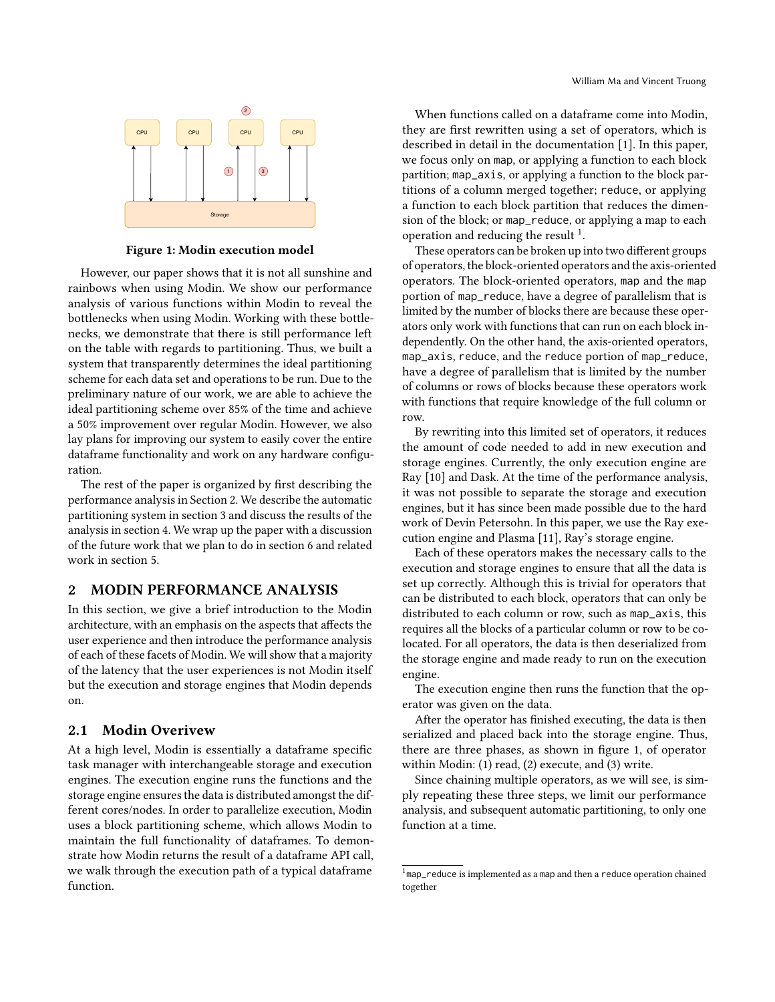<span id="page-1-2"></span>

Figure 1: Modin execution model

However, our paper shows that it is not all sunshine and rainbows when using Modin. We show our performance analysis of various functions within Modin to reveal the bottlenecks when using Modin. Working with these bottlenecks, we demonstrate that there is still performance left on the table with regards to partitioning. Thus, we built a system that transparently determines the ideal partitioning scheme for each data set and operations to be run. Due to the preliminary nature of our work, we are able to achieve the ideal partitioning scheme over 85% of the time and achieve a 50% improvement over regular Modin. However, we also lay plans for improving our system to easily cover the entire dataframe functionality and work on any hardware configuration.

The rest of the paper is organized by first describing the performance analysis in Section [2.](#page-1-0) We describe the automatic partitioning system in section [3](#page-2-0) and discuss the results of the analysis in section [4.](#page-4-0) We wrap up the paper with a discussion of the future work that we plan to do in section [6](#page-7-3) and related work in section [5.](#page-5-0)

#### <span id="page-1-0"></span>2 MODIN PERFORMANCE ANALYSIS

In this section, we give a brief introduction to the Modin architecture, with an emphasis on the aspects that affects the user experience and then introduce the performance analysis of each of these facets of Modin. We will show that a majority of the latency that the user experiences is not Modin itself but the execution and storage engines that Modin depends on.

# 2.1 Modin Overivew

At a high level, Modin is essentially a dataframe specific task manager with interchangeable storage and execution engines. The execution engine runs the functions and the storage engine ensures the data is distributed amongst the different cores/nodes. In order to parallelize execution, Modin uses a block partitioning scheme, which allows Modin to maintain the full functionality of dataframes. To demonstrate how Modin returns the result of a dataframe API call, we walk through the execution path of a typical dataframe function.

When functions called on a dataframe come into Modin, they are first rewritten using a set of operators, which is described in detail in the documentation [\[1\]](#page-7-4). In this paper, we focus only on map, or applying a function to each block partition; map\_axis, or applying a function to the block partitions of a column merged together; reduce, or applying a function to each block partition that reduces the dimension of the block; or map\_reduce, or applying a map to each operation and reducing the result  $1$ .

These operators can be broken up into two different groups of operators, the block-oriented operators and the axis-oriented operators. The block-oriented operators, map and the map portion of map\_reduce, have a degree of parallelism that is limited by the number of blocks there are because these operators only work with functions that can run on each block independently. On the other hand, the axis-oriented operators, map\_axis, reduce, and the reduce portion of map\_reduce, have a degree of parallelism that is limited by the number of columns or rows of blocks because these operators work with functions that require knowledge of the full column or row.

By rewriting into this limited set of operators, it reduces the amount of code needed to add in new execution and storage engines. Currently, the only execution engine are Ray [\[10\]](#page-8-4) and Dask. At the time of the performance analysis, it was not possible to separate the storage and execution engines, but it has since been made possible due to the hard work of Devin Petersohn. In this paper, we use the Ray execution engine and Plasma [\[11\]](#page-8-5), Ray's storage engine.

Each of these operators makes the necessary calls to the execution and storage engines to ensure that all the data is set up correctly. Although this is trivial for operators that can be distributed to each block, operators that can only be distributed to each column or row, such as map\_axis, this requires all the blocks of a particular column or row to be colocated. For all operators, the data is then deserialized from the storage engine and made ready to run on the execution engine.

The execution engine then runs the function that the operator was given on the data.

After the operator has finished executing, the data is then serialized and placed back into the storage engine. Thus, there are three phases, as shown in figure [1,](#page-1-2) of operator within Modin: (1) read, (2) execute, and (3) write.

Since chaining multiple operators, as we will see, is simply repeating these three steps, we limit our performance analysis, and subsequent automatic partitioning, to only one function at a time.

<span id="page-1-1"></span> $1$ map\_reduce is implemented as a map and then a reduce operation chained together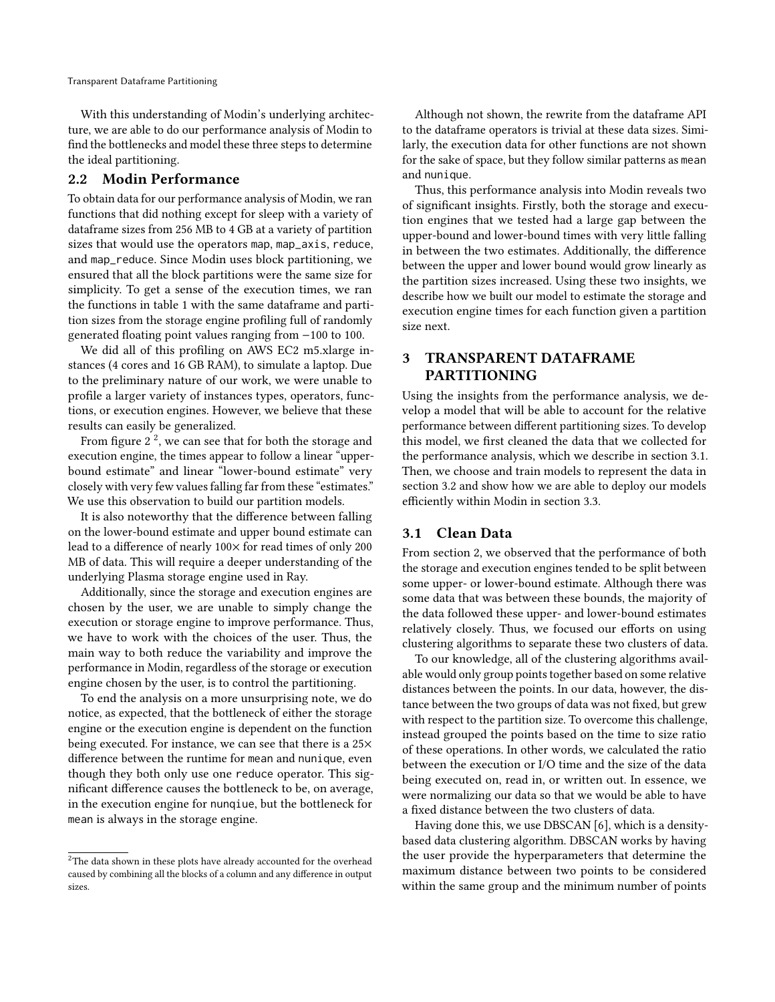With this understanding of Modin's underlying architecture, we are able to do our performance analysis of Modin to find the bottlenecks and model these three steps to determine the ideal partitioning.

## 2.2 Modin Performance

To obtain data for our performance analysis of Modin, we ran functions that did nothing except for sleep with a variety of dataframe sizes from 256 MB to 4 GB at a variety of partition sizes that would use the operators map, map\_axis, reduce, and map\_reduce. Since Modin uses block partitioning, we ensured that all the block partitions were the same size for simplicity. To get a sense of the execution times, we ran the functions in table [1](#page-3-0) with the same dataframe and partition sizes from the storage engine profiling full of randomly generated floating point values ranging from −100 to 100.

We did all of this profiling on AWS EC2 m5.xlarge instances (4 cores and 16 GB RAM), to simulate a laptop. Due to the preliminary nature of our work, we were unable to profile a larger variety of instances types, operators, functions, or execution engines. However, we believe that these results can easily be generalized.

From figure [2](#page-3-1) $^2$  $^2$ , we can see that for both the storage and execution engine, the times appear to follow a linear "upperbound estimate" and linear "lower-bound estimate" very closely with very few values falling far from these "estimates." We use this observation to build our partition models.

It is also noteworthy that the difference between falling on the lower-bound estimate and upper bound estimate can lead to a difference of nearly 100× for read times of only 200 MB of data. This will require a deeper understanding of the underlying Plasma storage engine used in Ray.

Additionally, since the storage and execution engines are chosen by the user, we are unable to simply change the execution or storage engine to improve performance. Thus, we have to work with the choices of the user. Thus, the main way to both reduce the variability and improve the performance in Modin, regardless of the storage or execution engine chosen by the user, is to control the partitioning.

To end the analysis on a more unsurprising note, we do notice, as expected, that the bottleneck of either the storage engine or the execution engine is dependent on the function being executed. For instance, we can see that there is a 25× difference between the runtime for mean and nunique, even though they both only use one reduce operator. This significant difference causes the bottleneck to be, on average, in the execution engine for nunqiue, but the bottleneck for mean is always in the storage engine.

Although not shown, the rewrite from the dataframe API to the dataframe operators is trivial at these data sizes. Similarly, the execution data for other functions are not shown for the sake of space, but they follow similar patterns as mean and nunique.

Thus, this performance analysis into Modin reveals two of significant insights. Firstly, both the storage and execution engines that we tested had a large gap between the upper-bound and lower-bound times with very little falling in between the two estimates. Additionally, the difference between the upper and lower bound would grow linearly as the partition sizes increased. Using these two insights, we describe how we built our model to estimate the storage and execution engine times for each function given a partition size next.

# <span id="page-2-0"></span>3 TRANSPARENT DATAFRAME PARTITIONING

Using the insights from the performance analysis, we develop a model that will be able to account for the relative performance between different partitioning sizes. To develop this model, we first cleaned the data that we collected for the performance analysis, which we describe in section [3.1.](#page-2-2) Then, we choose and train models to represent the data in section [3.2](#page-4-1) and show how we are able to deploy our models efficiently within Modin in section [3.3.](#page-4-2)

# <span id="page-2-2"></span>3.1 Clean Data

From section [2,](#page-1-0) we observed that the performance of both the storage and execution engines tended to be split between some upper- or lower-bound estimate. Although there was some data that was between these bounds, the majority of the data followed these upper- and lower-bound estimates relatively closely. Thus, we focused our efforts on using clustering algorithms to separate these two clusters of data.

To our knowledge, all of the clustering algorithms available would only group points together based on some relative distances between the points. In our data, however, the distance between the two groups of data was not fixed, but grew with respect to the partition size. To overcome this challenge, instead grouped the points based on the time to size ratio of these operations. In other words, we calculated the ratio between the execution or I/O time and the size of the data being executed on, read in, or written out. In essence, we were normalizing our data so that we would be able to have a fixed distance between the two clusters of data.

Having done this, we use DBSCAN [\[6\]](#page-7-5), which is a densitybased data clustering algorithm. DBSCAN works by having the user provide the hyperparameters that determine the maximum distance between two points to be considered within the same group and the minimum number of points

<span id="page-2-1"></span> $2$ The data shown in these plots have already accounted for the overhead caused by combining all the blocks of a column and any difference in output sizes.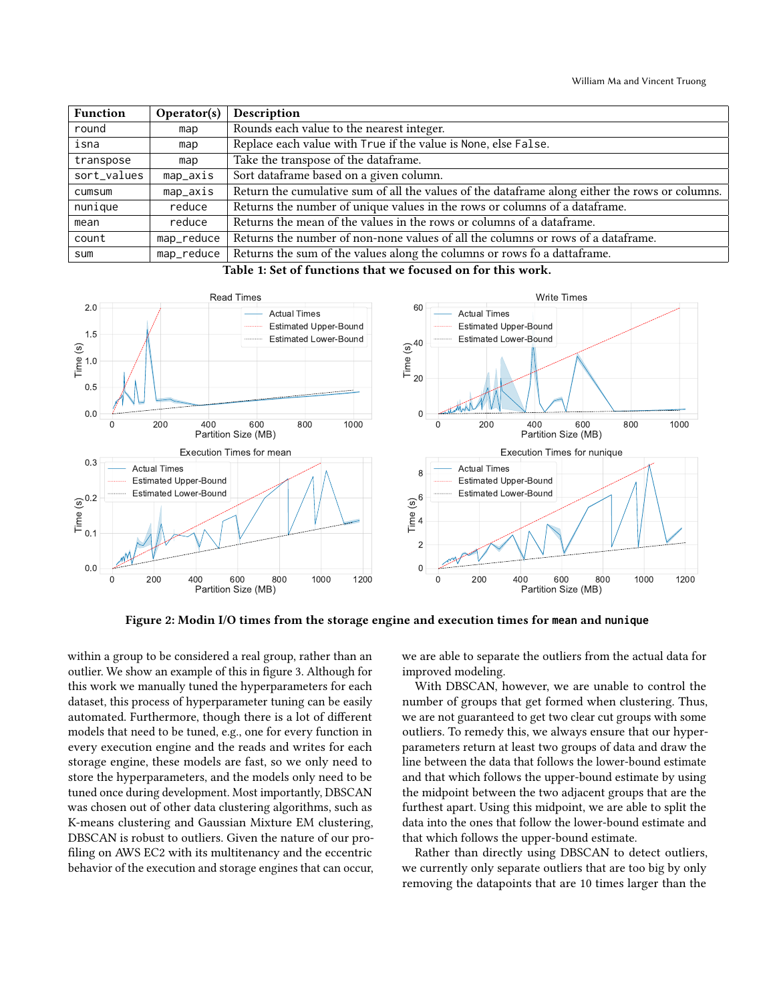<span id="page-3-0"></span>

| <b>Function</b> | Operator(s) | Description                                                                                    |
|-----------------|-------------|------------------------------------------------------------------------------------------------|
| round           | map         | Rounds each value to the nearest integer.                                                      |
| isna            | map         | Replace each value with True if the value is None, else False.                                 |
| transpose       | map         | Take the transpose of the dataframe.                                                           |
| sort_values     | map_axis    | Sort dataframe based on a given column.                                                        |
| cumsum          | map_axis    | Return the cumulative sum of all the values of the dataframe along either the rows or columns. |
| nunique         | reduce      | Returns the number of unique values in the rows or columns of a dataframe.                     |
| mean            | reduce      | Returns the mean of the values in the rows or columns of a dataframe.                          |
| count           | map_reduce  | Returns the number of non-none values of all the columns or rows of a dataframe.               |
| sum             | map_reduce  | Returns the sum of the values along the columns or rows fo a dattaframe.                       |

Table 1: Set of functions that we focused on for this work.

<span id="page-3-1"></span>

Figure 2: Modin I/O times from the storage engine and execution times for **mean** and **nunique**

within a group to be considered a real group, rather than an outlier. We show an example of this in figure [3.](#page-4-3) Although for this work we manually tuned the hyperparameters for each dataset, this process of hyperparameter tuning can be easily automated. Furthermore, though there is a lot of different models that need to be tuned, e.g., one for every function in every execution engine and the reads and writes for each storage engine, these models are fast, so we only need to store the hyperparameters, and the models only need to be tuned once during development. Most importantly, DBSCAN was chosen out of other data clustering algorithms, such as K-means clustering and Gaussian Mixture EM clustering, DBSCAN is robust to outliers. Given the nature of our profiling on AWS EC2 with its multitenancy and the eccentric behavior of the execution and storage engines that can occur, we are able to separate the outliers from the actual data for improved modeling.

With DBSCAN, however, we are unable to control the number of groups that get formed when clustering. Thus, we are not guaranteed to get two clear cut groups with some outliers. To remedy this, we always ensure that our hyperparameters return at least two groups of data and draw the line between the data that follows the lower-bound estimate and that which follows the upper-bound estimate by using the midpoint between the two adjacent groups that are the furthest apart. Using this midpoint, we are able to split the data into the ones that follow the lower-bound estimate and that which follows the upper-bound estimate.

Rather than directly using DBSCAN to detect outliers, we currently only separate outliers that are too big by only removing the datapoints that are 10 times larger than the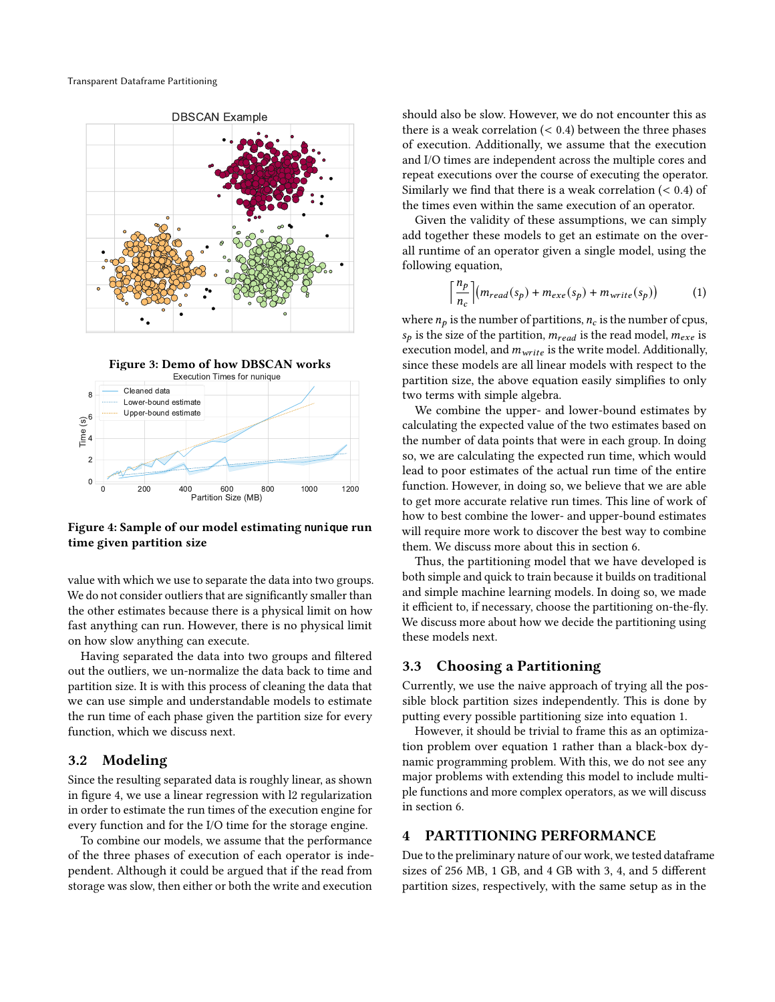<span id="page-4-3"></span>



<span id="page-4-4"></span>

Figure 4: Sample of our model estimating **nunique** run time given partition size

value with which we use to separate the data into two groups. We do not consider outliers that are significantly smaller than the other estimates because there is a physical limit on how fast anything can run. However, there is no physical limit on how slow anything can execute.

Having separated the data into two groups and filtered out the outliers, we un-normalize the data back to time and partition size. It is with this process of cleaning the data that we can use simple and understandable models to estimate the run time of each phase given the partition size for every function, which we discuss next.

# <span id="page-4-1"></span>3.2 Modeling

Since the resulting separated data is roughly linear, as shown in figure [4,](#page-4-4) we use a linear regression with l2 regularization in order to estimate the run times of the execution engine for every function and for the I/O time for the storage engine.

To combine our models, we assume that the performance of the three phases of execution of each operator is independent. Although it could be argued that if the read from storage was slow, then either or both the write and execution

should also be slow. However, we do not encounter this as there is a weak correlation  $( $0.4$ ) between the three phases$ of execution. Additionally, we assume that the execution and I/O times are independent across the multiple cores and repeat executions over the course of executing the operator. Similarly we find that there is a weak correlation  $( $0.4$ ) of$ the times even within the same execution of an operator.

Given the validity of these assumptions, we can simply add together these models to get an estimate on the overall runtime of an operator given a single model, using the following equation,

<span id="page-4-5"></span>
$$
\left\lceil \frac{n_p}{n_c} \right\rceil (m_{read}(s_p) + m_{exe}(s_p) + m_{write}(s_p)) \tag{1}
$$

where  $n_p$  is the number of partitions,  $n_c$  is the number of cpus,  $s_p$  is the size of the partition,  $m_{read}$  is the read model,  $m_{exe}$  is execution model, and  $m_{write}$  is the write model. Additionally, since these models are all linear models with respect to the partition size, the above equation easily simplifies to only two terms with simple algebra.

We combine the upper- and lower-bound estimates by calculating the expected value of the two estimates based on the number of data points that were in each group. In doing so, we are calculating the expected run time, which would lead to poor estimates of the actual run time of the entire function. However, in doing so, we believe that we are able to get more accurate relative run times. This line of work of how to best combine the lower- and upper-bound estimates will require more work to discover the best way to combine them. We discuss more about this in section [6.](#page-7-3)

Thus, the partitioning model that we have developed is both simple and quick to train because it builds on traditional and simple machine learning models. In doing so, we made it efficient to, if necessary, choose the partitioning on-the-fly. We discuss more about how we decide the partitioning using these models next.

# <span id="page-4-2"></span>3.3 Choosing a Partitioning

Currently, we use the naive approach of trying all the possible block partition sizes independently. This is done by putting every possible partitioning size into equation [1.](#page-4-5)

However, it should be trivial to frame this as an optimization problem over equation [1](#page-4-5) rather than a black-box dynamic programming problem. With this, we do not see any major problems with extending this model to include multiple functions and more complex operators, as we will discuss in section [6.](#page-7-3)

# <span id="page-4-0"></span>4 PARTITIONING PERFORMANCE

Due to the preliminary nature of our work, we tested dataframe sizes of 256 MB, 1 GB, and 4 GB with 3, 4, and 5 different partition sizes, respectively, with the same setup as in the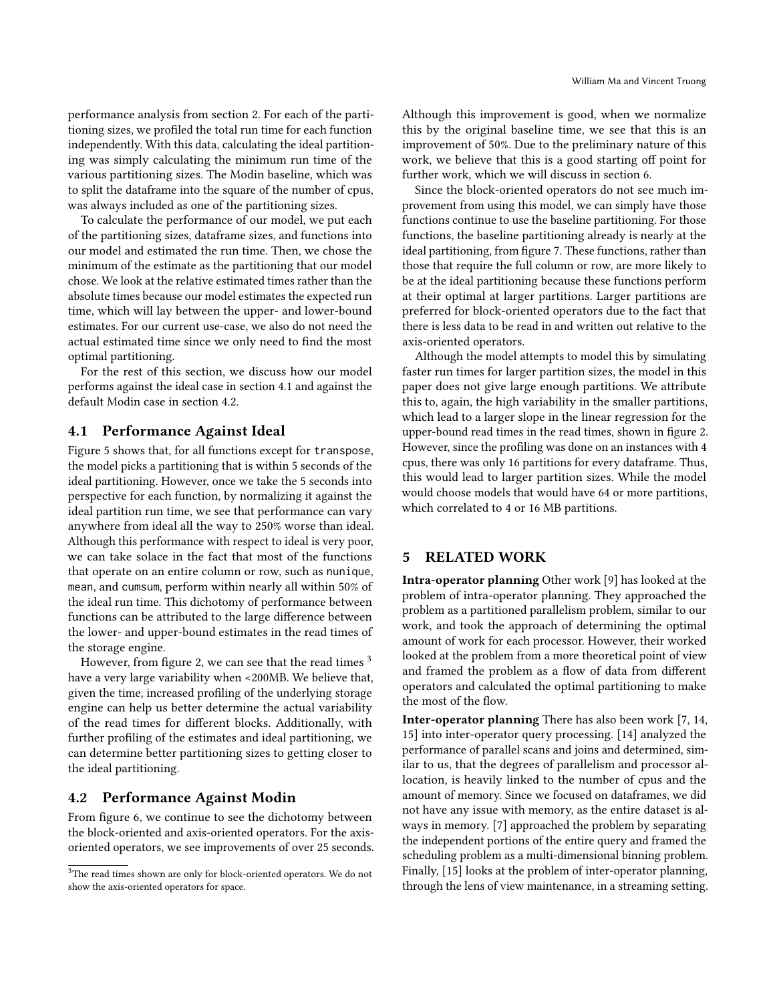performance analysis from section [2.](#page-1-0) For each of the partitioning sizes, we profiled the total run time for each function independently. With this data, calculating the ideal partitioning was simply calculating the minimum run time of the various partitioning sizes. The Modin baseline, which was to split the dataframe into the square of the number of cpus, was always included as one of the partitioning sizes.

To calculate the performance of our model, we put each of the partitioning sizes, dataframe sizes, and functions into our model and estimated the run time. Then, we chose the minimum of the estimate as the partitioning that our model chose. We look at the relative estimated times rather than the absolute times because our model estimates the expected run time, which will lay between the upper- and lower-bound estimates. For our current use-case, we also do not need the actual estimated time since we only need to find the most optimal partitioning.

For the rest of this section, we discuss how our model performs against the ideal case in section [4.1](#page-5-1) and against the default Modin case in section [4.2.](#page-5-2)

# <span id="page-5-1"></span>4.1 Performance Against Ideal

Figure [5](#page-6-0) shows that, for all functions except for transpose, the model picks a partitioning that is within 5 seconds of the ideal partitioning. However, once we take the 5 seconds into perspective for each function, by normalizing it against the ideal partition run time, we see that performance can vary anywhere from ideal all the way to 250% worse than ideal. Although this performance with respect to ideal is very poor, we can take solace in the fact that most of the functions that operate on an entire column or row, such as nunique, mean, and cumsum, perform within nearly all within 50% of the ideal run time. This dichotomy of performance between functions can be attributed to the large difference between the lower- and upper-bound estimates in the read times of the storage engine.

However, from figure [2,](#page-3-1) we can see that the read times  $3$ have a very large variability when <200MB. We believe that, given the time, increased profiling of the underlying storage engine can help us better determine the actual variability of the read times for different blocks. Additionally, with further profiling of the estimates and ideal partitioning, we can determine better partitioning sizes to getting closer to the ideal partitioning.

# <span id="page-5-2"></span>4.2 Performance Against Modin

From figure [6,](#page-6-1) we continue to see the dichotomy between the block-oriented and axis-oriented operators. For the axisoriented operators, we see improvements of over 25 seconds. Although this improvement is good, when we normalize this by the original baseline time, we see that this is an improvement of 50%. Due to the preliminary nature of this work, we believe that this is a good starting off point for further work, which we will discuss in section [6.](#page-7-3)

Since the block-oriented operators do not see much improvement from using this model, we can simply have those functions continue to use the baseline partitioning. For those functions, the baseline partitioning already is nearly at the ideal partitioning, from figure [7.](#page-6-2) These functions, rather than those that require the full column or row, are more likely to be at the ideal partitioning because these functions perform at their optimal at larger partitions. Larger partitions are preferred for block-oriented operators due to the fact that there is less data to be read in and written out relative to the axis-oriented operators.

Although the model attempts to model this by simulating faster run times for larger partition sizes, the model in this paper does not give large enough partitions. We attribute this to, again, the high variability in the smaller partitions, which lead to a larger slope in the linear regression for the upper-bound read times in the read times, shown in figure [2.](#page-3-1) However, since the profiling was done on an instances with 4 cpus, there was only 16 partitions for every dataframe. Thus, this would lead to larger partition sizes. While the model would choose models that would have 64 or more partitions, which correlated to 4 or 16 MB partitions.

# <span id="page-5-0"></span>5 RELATED WORK

Intra-operator planning Other work [\[9\]](#page-8-6) has looked at the problem of intra-operator planning. They approached the problem as a partitioned parallelism problem, similar to our work, and took the approach of determining the optimal amount of work for each processor. However, their worked looked at the problem from a more theoretical point of view and framed the problem as a flow of data from different operators and calculated the optimal partitioning to make the most of the flow.

Inter-operator planning There has also been work [\[7,](#page-7-6) [14,](#page-8-7) [15\]](#page-8-8) into inter-operator query processing. [\[14\]](#page-8-7) analyzed the performance of parallel scans and joins and determined, similar to us, that the degrees of parallelism and processor allocation, is heavily linked to the number of cpus and the amount of memory. Since we focused on dataframes, we did not have any issue with memory, as the entire dataset is always in memory. [\[7\]](#page-7-6) approached the problem by separating the independent portions of the entire query and framed the scheduling problem as a multi-dimensional binning problem. Finally, [\[15\]](#page-8-8) looks at the problem of inter-operator planning, through the lens of view maintenance, in a streaming setting.

<span id="page-5-3"></span> $^3 \rm{The \; read \; times \; shown \; are \; only \; for \; block-oriented \; operators.}$  We do not show the axis-oriented operators for space.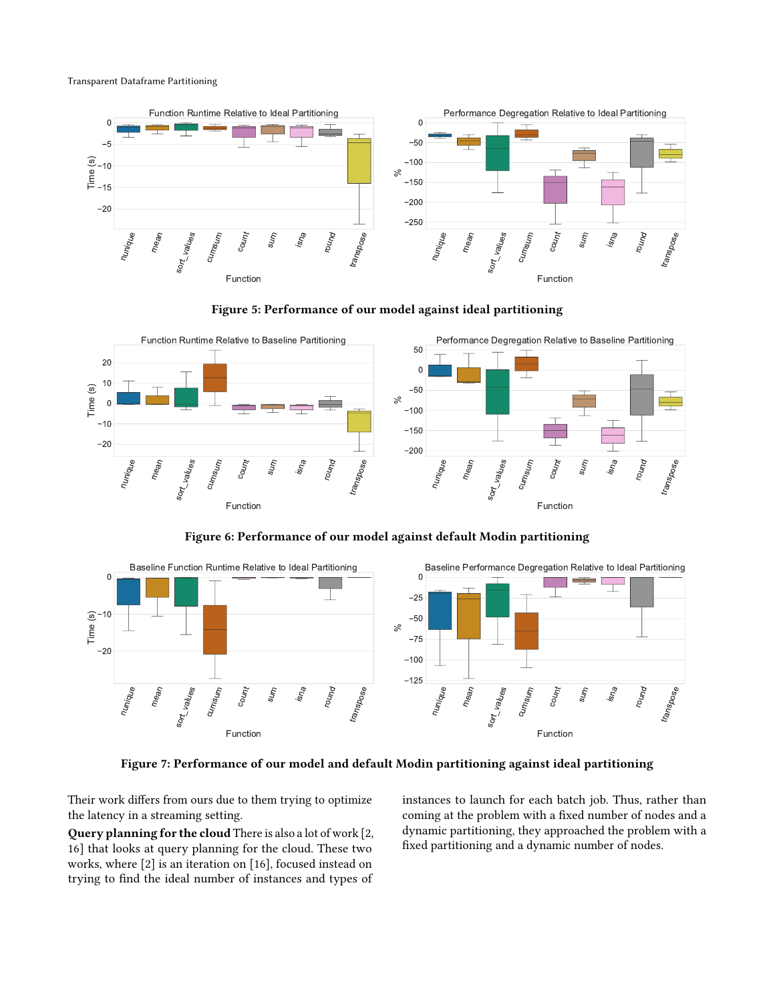Transparent Dataframe Partitioning

<span id="page-6-0"></span>



<span id="page-6-1"></span>

Figure 6: Performance of our model against default Modin partitioning

<span id="page-6-2"></span>

Figure 7: Performance of our model and default Modin partitioning against ideal partitioning

Their work differs from ours due to them trying to optimize the latency in a streaming setting.

Query planning for the cloud There is also a lot of work [\[2,](#page-7-7) [16\]](#page-8-9) that looks at query planning for the cloud. These two works, where [\[2\]](#page-7-7) is an iteration on [\[16\]](#page-8-9), focused instead on trying to find the ideal number of instances and types of

instances to launch for each batch job. Thus, rather than coming at the problem with a fixed number of nodes and a dynamic partitioning, they approached the problem with a fixed partitioning and a dynamic number of nodes.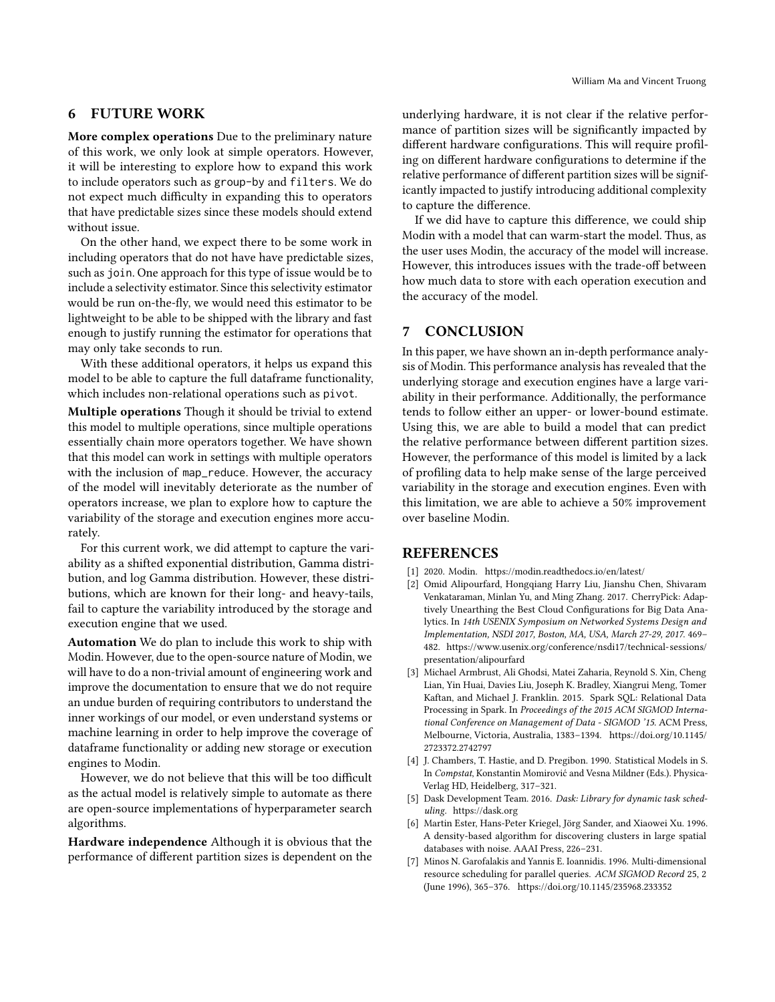# <span id="page-7-3"></span>6 FUTURE WORK

More complex operations Due to the preliminary nature of this work, we only look at simple operators. However, it will be interesting to explore how to expand this work to include operators such as group-by and filters. We do not expect much difficulty in expanding this to operators that have predictable sizes since these models should extend without issue.

On the other hand, we expect there to be some work in including operators that do not have have predictable sizes, such as join. One approach for this type of issue would be to include a selectivity estimator. Since this selectivity estimator would be run on-the-fly, we would need this estimator to be lightweight to be able to be shipped with the library and fast enough to justify running the estimator for operations that may only take seconds to run.

With these additional operators, it helps us expand this model to be able to capture the full dataframe functionality, which includes non-relational operations such as pivot.

Multiple operations Though it should be trivial to extend this model to multiple operations, since multiple operations essentially chain more operators together. We have shown that this model can work in settings with multiple operators with the inclusion of map\_reduce. However, the accuracy of the model will inevitably deteriorate as the number of operators increase, we plan to explore how to capture the variability of the storage and execution engines more accurately.

For this current work, we did attempt to capture the variability as a shifted exponential distribution, Gamma distribution, and log Gamma distribution. However, these distributions, which are known for their long- and heavy-tails, fail to capture the variability introduced by the storage and execution engine that we used.

Automation We do plan to include this work to ship with Modin. However, due to the open-source nature of Modin, we will have to do a non-trivial amount of engineering work and improve the documentation to ensure that we do not require an undue burden of requiring contributors to understand the inner workings of our model, or even understand systems or machine learning in order to help improve the coverage of dataframe functionality or adding new storage or execution engines to Modin.

However, we do not believe that this will be too difficult as the actual model is relatively simple to automate as there are open-source implementations of hyperparameter search algorithms.

Hardware independence Although it is obvious that the performance of different partition sizes is dependent on the underlying hardware, it is not clear if the relative performance of partition sizes will be significantly impacted by different hardware configurations. This will require profiling on different hardware configurations to determine if the relative performance of different partition sizes will be significantly impacted to justify introducing additional complexity to capture the difference.

If we did have to capture this difference, we could ship Modin with a model that can warm-start the model. Thus, as the user uses Modin, the accuracy of the model will increase. However, this introduces issues with the trade-off between how much data to store with each operation execution and the accuracy of the model.

#### 7 CONCLUSION

In this paper, we have shown an in-depth performance analysis of Modin. This performance analysis has revealed that the underlying storage and execution engines have a large variability in their performance. Additionally, the performance tends to follow either an upper- or lower-bound estimate. Using this, we are able to build a model that can predict the relative performance between different partition sizes. However, the performance of this model is limited by a lack of profiling data to help make sense of the large perceived variability in the storage and execution engines. Even with this limitation, we are able to achieve a 50% improvement over baseline Modin.

# **REFERENCES**

- <span id="page-7-4"></span>[1] 2020. Modin.<https://modin.readthedocs.io/en/latest/>
- <span id="page-7-7"></span>[2] Omid Alipourfard, Hongqiang Harry Liu, Jianshu Chen, Shivaram Venkataraman, Minlan Yu, and Ming Zhang. 2017. CherryPick: Adaptively Unearthing the Best Cloud Configurations for Big Data Analytics. In 14th USENIX Symposium on Networked Systems Design and Implementation, NSDI 2017, Boston, MA, USA, March 27-29, 2017. 469– 482. [https://www.usenix.org/conference/nsdi17/technical-sessions/](https://www.usenix.org/conference/nsdi17/technical-sessions/presentation/alipourfard) [presentation/alipourfard](https://www.usenix.org/conference/nsdi17/technical-sessions/presentation/alipourfard)
- <span id="page-7-1"></span>[3] Michael Armbrust, Ali Ghodsi, Matei Zaharia, Reynold S. Xin, Cheng Lian, Yin Huai, Davies Liu, Joseph K. Bradley, Xiangrui Meng, Tomer Kaftan, and Michael J. Franklin. 2015. Spark SQL: Relational Data Processing in Spark. In Proceedings of the 2015 ACM SIGMOD International Conference on Management of Data - SIGMOD '15. ACM Press, Melbourne, Victoria, Australia, 1383–1394. [https://doi.org/10.1145/](https://doi.org/10.1145/2723372.2742797) [2723372.2742797](https://doi.org/10.1145/2723372.2742797)
- <span id="page-7-0"></span>[4] J. Chambers, T. Hastie, and D. Pregibon. 1990. Statistical Models in S. In Compstat, Konstantin Momirović and Vesna Mildner (Eds.). Physica-Verlag HD, Heidelberg, 317–321.
- <span id="page-7-2"></span>[5] Dask Development Team. 2016. Dask: Library for dynamic task scheduling.<https://dask.org>
- <span id="page-7-5"></span>[6] Martin Ester, Hans-Peter Kriegel, Jörg Sander, and Xiaowei Xu. 1996. A density-based algorithm for discovering clusters in large spatial databases with noise. AAAI Press, 226–231.
- <span id="page-7-6"></span>[7] Minos N. Garofalakis and Yannis E. Ioannidis. 1996. Multi-dimensional resource scheduling for parallel queries. ACM SIGMOD Record 25, 2 (June 1996), 365–376.<https://doi.org/10.1145/235968.233352>